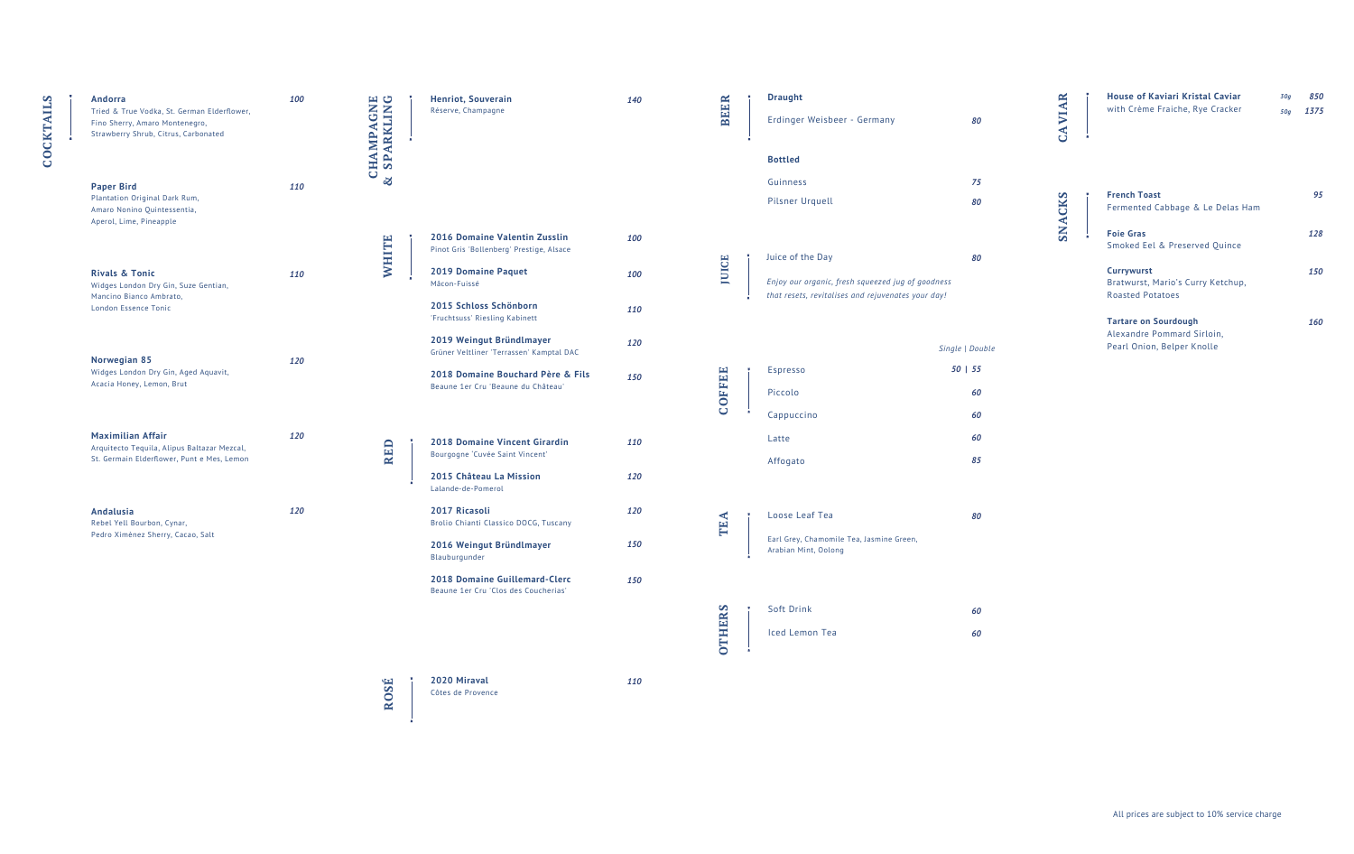**COCKTAILS**

**COCKTAILS** 

- 
- 

| Andorra<br>Tried & True Vodka, St. German Elderflower,<br>Fino Sherry, Amaro Montenegro,<br>Strawberry Shrub, Citrus, Carbonated | 100 | CHAMPAGNE<br><b>x</b> SPARKLING | <b>Henriot, Souverain</b><br>Réserve, Champagne                                                                                                                                   | 140               | <b>BEER</b>   | <b>Draught</b><br>Erdinger Weisbeer - Germany                                                                               | 80                               | <b>CAVIAR</b> | <b>House of Kaviari Kristal Caviar</b><br>with Crème Fraiche, Rye Cracker                                                              | 850<br>30g<br>50g 1375 |
|----------------------------------------------------------------------------------------------------------------------------------|-----|---------------------------------|-----------------------------------------------------------------------------------------------------------------------------------------------------------------------------------|-------------------|---------------|-----------------------------------------------------------------------------------------------------------------------------|----------------------------------|---------------|----------------------------------------------------------------------------------------------------------------------------------------|------------------------|
| <b>Paper Bird</b><br>Plantation Original Dark Rum,<br>Amaro Nonino Quintessentia,<br>Aperol, Lime, Pineapple                     | 110 | $\infty$                        |                                                                                                                                                                                   |                   |               | <b>Bottled</b><br>Guinness<br><b>Pilsner Urquell</b>                                                                        | 75<br>80                         | <b>ACKS</b>   | <b>French Toast</b><br>Fermented Cabbage & Le Delas Ham                                                                                | 95                     |
| <b>Rivals &amp; Tonic</b><br>Widges London Dry Gin, Suze Gentian,<br>Mancino Bianco Ambrato,<br>London Essence Tonic             | 110 | <b>WHITE</b>                    | 2016 Domaine Valentin Zusslin<br>Pinot Gris 'Bollenberg' Prestige, Alsace<br>2019 Domaine Paquet<br>Mâcon-Fuissé<br>2015 Schloss Schönborn                                        | 100<br>100<br>110 | <b>JUICE</b>  | Juice of the Day<br>Enjoy our organic, fresh squeezed jug of goodness<br>that resets, revitalises and rejuvenates your day! | 80                               | <b>SN</b>     | <b>Foie Gras</b><br>Smoked Eel & Preserved Quince<br><b>Currywurst</b><br>Bratwurst, Mario's Curry Ketchup,<br><b>Roasted Potatoes</b> | 128<br>150             |
| Norwegian 85<br>Widges London Dry Gin, Aged Aquavit,<br>Acacia Honey, Lemon, Brut                                                | 120 |                                 | 'Fruchtsuss' Riesling Kabinett<br>2019 Weingut Bründlmayer<br>Grüner Veltliner 'Terrassen' Kamptal DAC<br>2018 Domaine Bouchard Père & Fils<br>Beaune 1er Cru 'Beaune du Château' | 120<br>150        | <b>COFFEE</b> | Espresso<br>Piccolo                                                                                                         | Single   Double<br>50   55<br>60 |               | <b>Tartare on Sourdough</b><br>Alexandre Pommard Sirloin,<br>Pearl Onion, Belper Knolle                                                | 160                    |
| <b>Maximilian Affair</b><br>Arquitecto Tequila, Alipus Baltazar Mezcal,<br>St. Germain Elderflower, Punt e Mes, Lemon            | 120 | <b>RED</b>                      | 2018 Domaine Vincent Girardin<br>Bourgogne 'Cuvée Saint Vincent'<br>2015 Château La Mission<br>Lalande-de-Pomerol                                                                 | 110<br>120        |               | Cappuccino<br>Latte<br>Affogato                                                                                             | 60<br>60<br>85                   |               |                                                                                                                                        |                        |
| Andalusia<br>Rebel Yell Bourbon, Cynar,<br>Pedro Ximènez Sherry, Cacao, Salt                                                     | 120 |                                 | 2017 Ricasoli<br>Brolio Chianti Classico DOCG, Tuscany<br>2016 Weingut Bründlmayer<br>Blauburgunder<br>2018 Domaine Guillemard-Clerc<br>Beaune 1er Cru 'Clos des Coucherias'      | 120<br>150<br>150 | TEA           | Loose Leaf Tea<br>Earl Grey, Chamomile Tea, Jasmine Green,<br>Arabian Mint, Oolong                                          | 80                               |               |                                                                                                                                        |                        |
|                                                                                                                                  |     |                                 |                                                                                                                                                                                   |                   | <b>OTHERS</b> | Soft Drink<br>Iced Lemon Tea                                                                                                | 60<br>60                         |               |                                                                                                                                        |                        |
|                                                                                                                                  |     | ROSÉ                            | 2020 Miraval<br>Côtes de Provence                                                                                                                                                 | 110               |               |                                                                                                                             |                                  |               |                                                                                                                                        |                        |